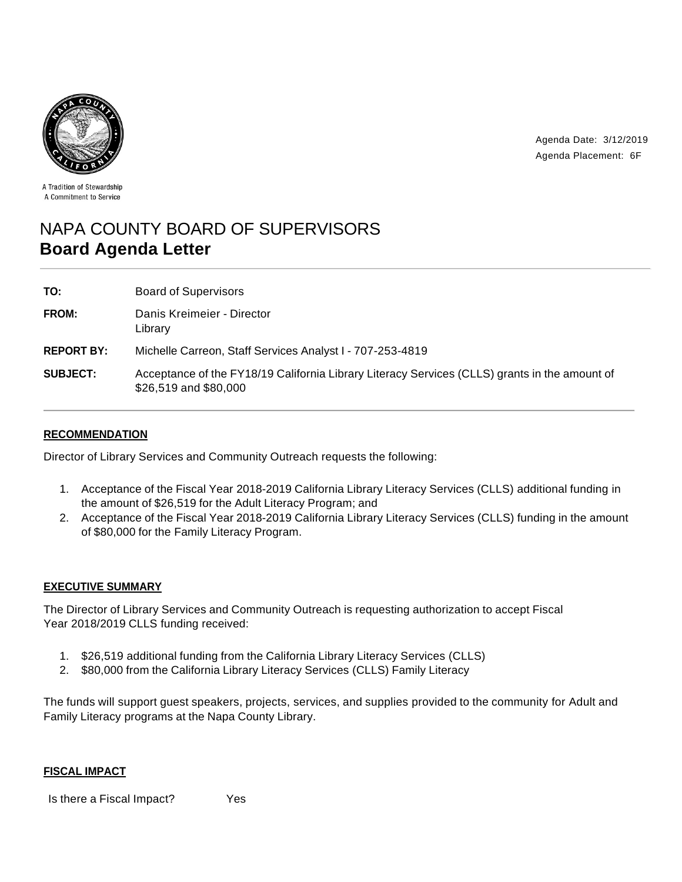

Agenda Date: 3/12/2019 Agenda Placement: 6F

A Tradition of Stewardship A Commitment to Service

# NAPA COUNTY BOARD OF SUPERVISORS **Board Agenda Letter**

| TO:               | <b>Board of Supervisors</b>                                                                                            |
|-------------------|------------------------------------------------------------------------------------------------------------------------|
| FROM:             | Danis Kreimeier - Director<br>Library                                                                                  |
| <b>REPORT BY:</b> | Michelle Carreon, Staff Services Analyst I - 707-253-4819                                                              |
| <b>SUBJECT:</b>   | Acceptance of the FY18/19 California Library Literacy Services (CLLS) grants in the amount of<br>\$26,519 and \$80,000 |

## **RECOMMENDATION**

Director of Library Services and Community Outreach requests the following:

- 1. Acceptance of the Fiscal Year 2018-2019 California Library Literacy Services (CLLS) additional funding in the amount of \$26,519 for the Adult Literacy Program; and
- 2. Acceptance of the Fiscal Year 2018-2019 California Library Literacy Services (CLLS) funding in the amount of \$80,000 for the Family Literacy Program.

## **EXECUTIVE SUMMARY**

The Director of Library Services and Community Outreach is requesting authorization to accept Fiscal Year 2018/2019 CLLS funding received:

- 1. \$26,519 additional funding from the California Library Literacy Services (CLLS)
- 2. \$80,000 from the California Library Literacy Services (CLLS) Family Literacy

The funds will support guest speakers, projects, services, and supplies provided to the community for Adult and Family Literacy programs at the Napa County Library.

#### **FISCAL IMPACT**

Is there a Fiscal Impact? Yes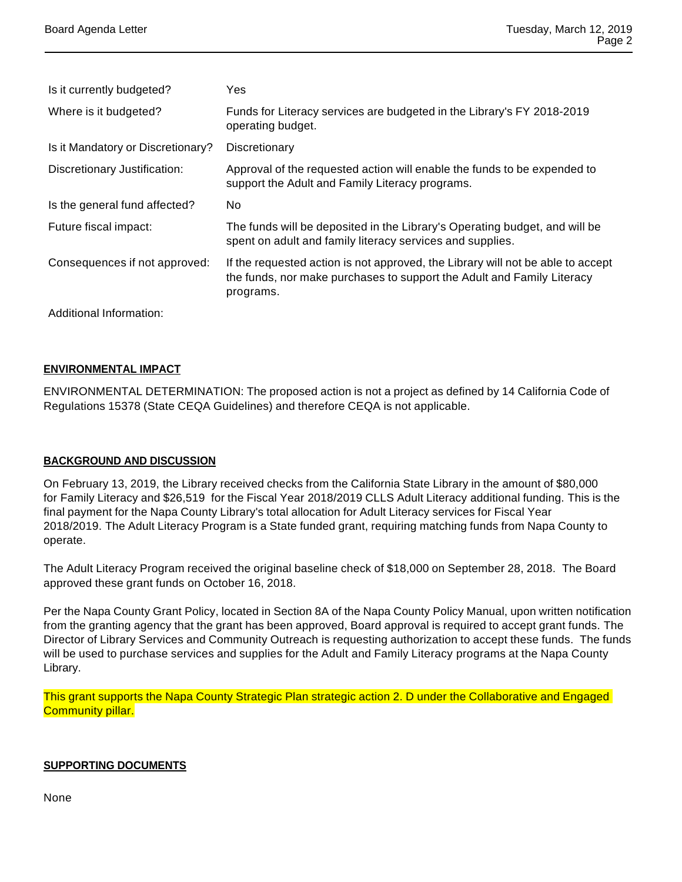| Is it currently budgeted?         | Yes                                                                                                                                                                    |
|-----------------------------------|------------------------------------------------------------------------------------------------------------------------------------------------------------------------|
| Where is it budgeted?             | Funds for Literacy services are budgeted in the Library's FY 2018-2019<br>operating budget.                                                                            |
| Is it Mandatory or Discretionary? | Discretionary                                                                                                                                                          |
| Discretionary Justification:      | Approval of the requested action will enable the funds to be expended to<br>support the Adult and Family Literacy programs.                                            |
| Is the general fund affected?     | No.                                                                                                                                                                    |
| Future fiscal impact:             | The funds will be deposited in the Library's Operating budget, and will be<br>spent on adult and family literacy services and supplies.                                |
| Consequences if not approved:     | If the requested action is not approved, the Library will not be able to accept<br>the funds, nor make purchases to support the Adult and Family Literacy<br>programs. |
| Additional Information:           |                                                                                                                                                                        |

### **ENVIRONMENTAL IMPACT**

ENVIRONMENTAL DETERMINATION: The proposed action is not a project as defined by 14 California Code of Regulations 15378 (State CEQA Guidelines) and therefore CEQA is not applicable.

#### **BACKGROUND AND DISCUSSION**

On February 13, 2019, the Library received checks from the California State Library in the amount of \$80,000 for Family Literacy and \$26,519 for the Fiscal Year 2018/2019 CLLS Adult Literacy additional funding. This is the final payment for the Napa County Library's total allocation for Adult Literacy services for Fiscal Year 2018/2019. The Adult Literacy Program is a State funded grant, requiring matching funds from Napa County to operate.

The Adult Literacy Program received the original baseline check of \$18,000 on September 28, 2018. The Board approved these grant funds on October 16, 2018.

Per the Napa County Grant Policy, located in Section 8A of the Napa County Policy Manual, upon written notification from the granting agency that the grant has been approved, Board approval is required to accept grant funds. The Director of Library Services and Community Outreach is requesting authorization to accept these funds. The funds will be used to purchase services and supplies for the Adult and Family Literacy programs at the Napa County Library.

This grant supports the Napa County Strategic Plan strategic action 2. D under the Collaborative and Engaged **Community pillar.** 

#### **SUPPORTING DOCUMENTS**

None